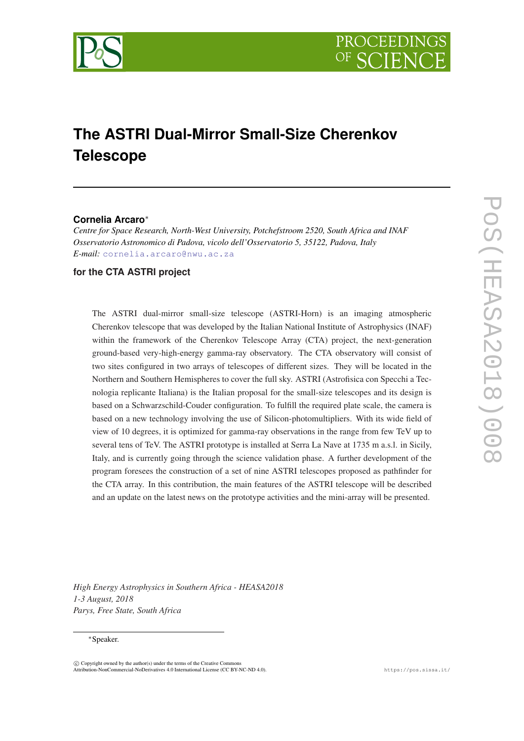

# **The ASTRI Dual-Mirror Small-Size Cherenkov Telescope**

# **Cornelia Arcaro**<sup>∗</sup>

*Centre for Space Research, North-West University, Potchefstroom 2520, South Africa and INAF Osservatorio Astronomico di Padova, vicolo dell'Osservatorio 5, 35122, Padova, Italy E-mail:* [cornelia.arcaro@nwu.ac.za](mailto:cornelia.arcaro@nwu.ac.za)

# **for the CTA ASTRI project**

The ASTRI dual-mirror small-size telescope (ASTRI-Horn) is an imaging atmospheric Cherenkov telescope that was developed by the Italian National Institute of Astrophysics (INAF) within the framework of the Cherenkov Telescope Array (CTA) project, the next-generation ground-based very-high-energy gamma-ray observatory. The CTA observatory will consist of two sites configured in two arrays of telescopes of different sizes. They will be located in the Northern and Southern Hemispheres to cover the full sky. ASTRI (Astrofisica con Specchi a Tecnologia replicante Italiana) is the Italian proposal for the small-size telescopes and its design is based on a Schwarzschild-Couder configuration. To fulfill the required plate scale, the camera is based on a new technology involving the use of Silicon-photomultipliers. With its wide field of view of 10 degrees, it is optimized for gamma-ray observations in the range from few TeV up to several tens of TeV. The ASTRI prototype is installed at Serra La Nave at 1735 m a.s.l. in Sicily, Italy, and is currently going through the science validation phase. A further development of the program foresees the construction of a set of nine ASTRI telescopes proposed as pathfinder for the CTA array. In this contribution, the main features of the ASTRI telescope will be described and an update on the latest news on the prototype activities and the mini-array will be presented.

*High Energy Astrophysics in Southern Africa - HEASA2018 1-3 August, 2018 Parys, Free State, South Africa*

#### <sup>∗</sup>Speaker.

 $\overline{c}$  Copyright owned by the author(s) under the terms of the Creative Common Attribution-NonCommercial-NoDerivatives 4.0 International License (CC BY-NC-ND 4.0). https://pos.sissa.it/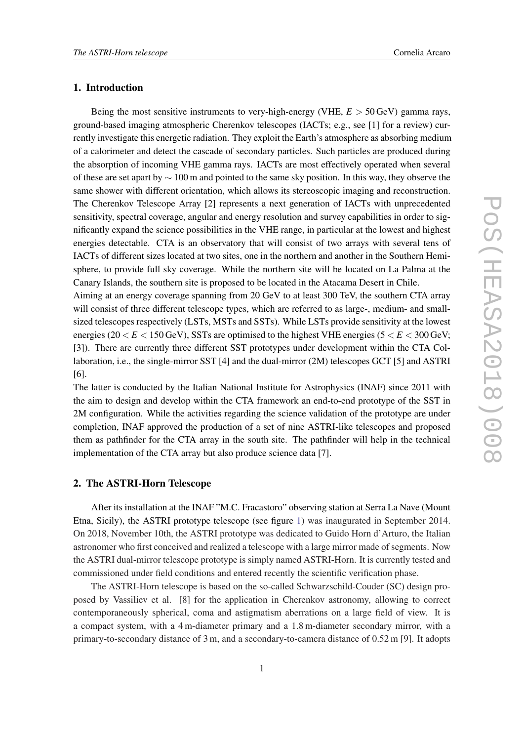## 1. Introduction

Being the most sensitive instruments to very-high-energy (VHE,  $E > 50$  GeV) gamma rays, ground-based imaging atmospheric Cherenkov telescopes (IACTs; e.g., see [1] for a review) currently investigate this energetic radiation. They exploit the Earth's atmosphere as absorbing medium of a calorimeter and detect the cascade of secondary particles. Such particles are produced during the absorption of incoming VHE gamma rays. IACTs are most effectively operated when several of these are set apart by  $\sim$  100 m and pointed to the same sky position. In this way, they observe the same shower with different orientation, which allows its stereoscopic imaging and reconstruction. The Cherenkov Telescope Array [2] represents a next generation of IACTs with unprecedented sensitivity, spectral coverage, angular and energy resolution and survey capabilities in order to significantly expand the science possibilities in the VHE range, in particular at the lowest and highest energies detectable. CTA is an observatory that will consist of two arrays with several tens of IACTs of different sizes located at two sites, one in the northern and another in the Southern Hemisphere, to provide full sky coverage. While the northern site will be located on La Palma at the Canary Islands, the southern site is proposed to be located in the Atacama Desert in Chile.

Aiming at an energy coverage spanning from 20 GeV to at least 300 TeV, the southern CTA array will consist of three different telescope types, which are referred to as large-, medium- and smallsized telescopes respectively (LSTs, MSTs and SSTs). While LSTs provide sensitivity at the lowest energies ( $20 < E < 150$  GeV), SSTs are optimised to the highest VHE energies ( $5 < E < 300$  GeV; [3]). There are currently three different SST prototypes under development within the CTA Collaboration, i.e., the single-mirror SST [4] and the dual-mirror (2M) telescopes GCT [5] and ASTRI [6].

The latter is conducted by the Italian National Institute for Astrophysics (INAF) since 2011 with the aim to design and develop within the CTA framework an end-to-end prototype of the SST in 2M configuration. While the activities regarding the science validation of the prototype are under completion, INAF approved the production of a set of nine ASTRI-like telescopes and proposed them as pathfinder for the CTA array in the south site. The pathfinder will help in the technical implementation of the CTA array but also produce science data [7].

### 2. The ASTRI-Horn Telescope

After its installation at the INAF "M.C. Fracastoro" observing station at Serra La Nave (Mount Etna, Sicily), the ASTRI prototype telescope (see figure [1](#page-2-0)) was inaugurated in September 2014. On 2018, November 10th, the ASTRI prototype was dedicated to Guido Horn d'Arturo, the Italian astronomer who first conceived and realized a telescope with a large mirror made of segments. Now the ASTRI dual-mirror telescope prototype is simply named ASTRI-Horn. It is currently tested and commissioned under field conditions and entered recently the scientific verification phase.

The ASTRI-Horn telescope is based on the so-called Schwarzschild-Couder (SC) design proposed by Vassiliev et al. [8] for the application in Cherenkov astronomy, allowing to correct contemporaneously spherical, coma and astigmatism aberrations on a large field of view. It is a compact system, with a 4 m-diameter primary and a 1.8 m-diameter secondary mirror, with a primary-to-secondary distance of 3 m, and a secondary-to-camera distance of 0.52 m [9]. It adopts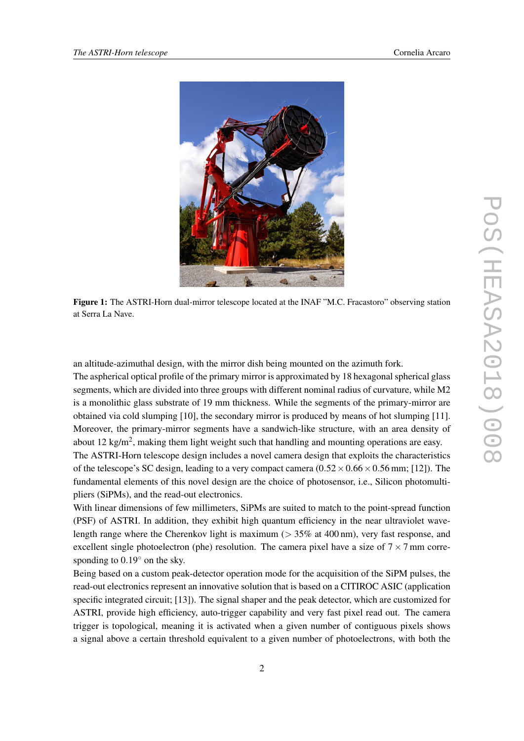<span id="page-2-0"></span>

Figure 1: The ASTRI-Horn dual-mirror telescope located at the INAF "M.C. Fracastoro" observing station at Serra La Nave.

an altitude-azimuthal design, with the mirror dish being mounted on the azimuth fork.

The aspherical optical profile of the primary mirror is approximated by 18 hexagonal spherical glass segments, which are divided into three groups with different nominal radius of curvature, while M2 is a monolithic glass substrate of 19 mm thickness. While the segments of the primary-mirror are obtained via cold slumping [10], the secondary mirror is produced by means of hot slumping [11]. Moreover, the primary-mirror segments have a sandwich-like structure, with an area density of about 12 kg/m<sup>2</sup>, making them light weight such that handling and mounting operations are easy.

The ASTRI-Horn telescope design includes a novel camera design that exploits the characteristics of the telescope's SC design, leading to a very compact camera  $(0.52 \times 0.66 \times 0.56$  mm; [12]). The fundamental elements of this novel design are the choice of photosensor, i.e., Silicon photomultipliers (SiPMs), and the read-out electronics.

With linear dimensions of few millimeters, SiPMs are suited to match to the point-spread function (PSF) of ASTRI. In addition, they exhibit high quantum efficiency in the near ultraviolet wavelength range where the Cherenkov light is maximum ( $> 35\%$  at 400 nm), very fast response, and excellent single photoelectron (phe) resolution. The camera pixel have a size of  $7 \times 7$  mm corresponding to  $0.19<sup>°</sup>$  on the sky.

Being based on a custom peak-detector operation mode for the acquisition of the SiPM pulses, the read-out electronics represent an innovative solution that is based on a CITIROC ASIC (application specific integrated circuit; [13]). The signal shaper and the peak detector, which are customized for ASTRI, provide high efficiency, auto-trigger capability and very fast pixel read out. The camera trigger is topological, meaning it is activated when a given number of contiguous pixels shows a signal above a certain threshold equivalent to a given number of photoelectrons, with both the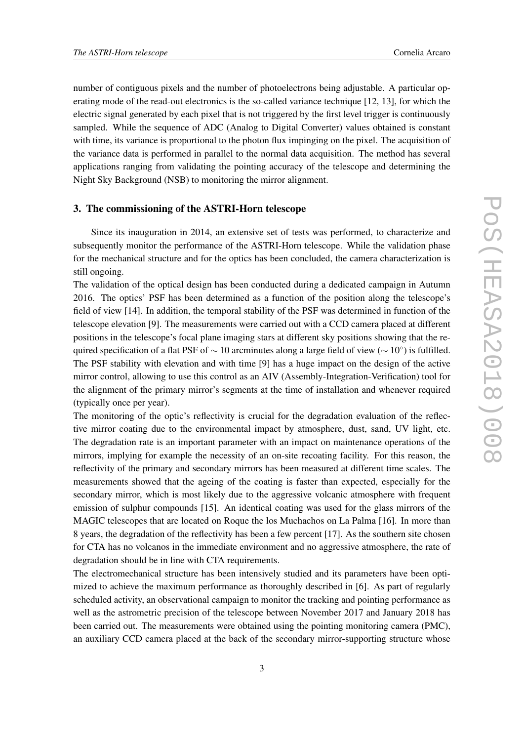number of contiguous pixels and the number of photoelectrons being adjustable. A particular operating mode of the read-out electronics is the so-called variance technique [12, 13], for which the electric signal generated by each pixel that is not triggered by the first level trigger is continuously sampled. While the sequence of ADC (Analog to Digital Converter) values obtained is constant with time, its variance is proportional to the photon flux impinging on the pixel. The acquisition of the variance data is performed in parallel to the normal data acquisition. The method has several applications ranging from validating the pointing accuracy of the telescope and determining the Night Sky Background (NSB) to monitoring the mirror alignment.

## 3. The commissioning of the ASTRI-Horn telescope

Since its inauguration in 2014, an extensive set of tests was performed, to characterize and subsequently monitor the performance of the ASTRI-Horn telescope. While the validation phase for the mechanical structure and for the optics has been concluded, the camera characterization is still ongoing.

The validation of the optical design has been conducted during a dedicated campaign in Autumn 2016. The optics' PSF has been determined as a function of the position along the telescope's field of view [14]. In addition, the temporal stability of the PSF was determined in function of the telescope elevation [9]. The measurements were carried out with a CCD camera placed at different positions in the telescope's focal plane imaging stars at different sky positions showing that the required specification of a flat PSF of  $\sim 10$  arcminutes along a large field of view ( $\sim 10°$ ) is fulfilled. The PSF stability with elevation and with time [9] has a huge impact on the design of the active mirror control, allowing to use this control as an AIV (Assembly-Integration-Verification) tool for the alignment of the primary mirror's segments at the time of installation and whenever required (typically once per year).

The monitoring of the optic's reflectivity is crucial for the degradation evaluation of the reflective mirror coating due to the environmental impact by atmosphere, dust, sand, UV light, etc. The degradation rate is an important parameter with an impact on maintenance operations of the mirrors, implying for example the necessity of an on-site recoating facility. For this reason, the reflectivity of the primary and secondary mirrors has been measured at different time scales. The measurements showed that the ageing of the coating is faster than expected, especially for the secondary mirror, which is most likely due to the aggressive volcanic atmosphere with frequent emission of sulphur compounds [15]. An identical coating was used for the glass mirrors of the MAGIC telescopes that are located on Roque the los Muchachos on La Palma [16]. In more than 8 years, the degradation of the reflectivity has been a few percent [17]. As the southern site chosen for CTA has no volcanos in the immediate environment and no aggressive atmosphere, the rate of degradation should be in line with CTA requirements.

The electromechanical structure has been intensively studied and its parameters have been optimized to achieve the maximum performance as thoroughly described in [6]. As part of regularly scheduled activity, an observational campaign to monitor the tracking and pointing performance as well as the astrometric precision of the telescope between November 2017 and January 2018 has been carried out. The measurements were obtained using the pointing monitoring camera (PMC), an auxiliary CCD camera placed at the back of the secondary mirror-supporting structure whose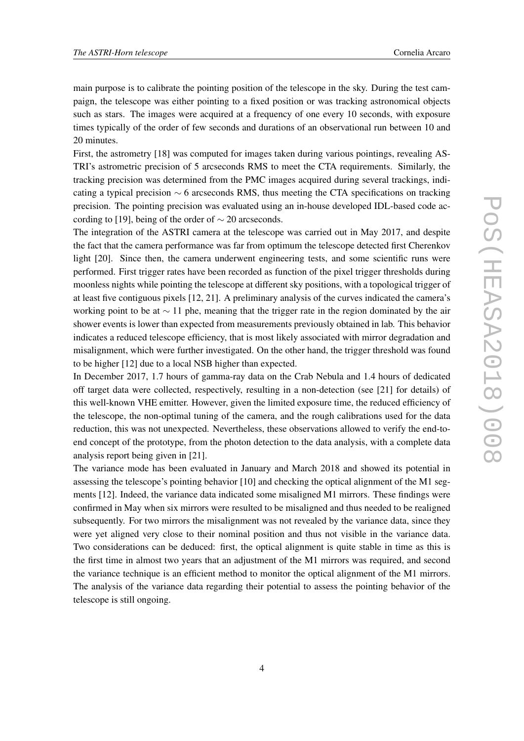main purpose is to calibrate the pointing position of the telescope in the sky. During the test campaign, the telescope was either pointing to a fixed position or was tracking astronomical objects such as stars. The images were acquired at a frequency of one every 10 seconds, with exposure times typically of the order of few seconds and durations of an observational run between 10 and 20 minutes.

First, the astrometry [18] was computed for images taken during various pointings, revealing AS-TRI's astrometric precision of 5 arcseconds RMS to meet the CTA requirements. Similarly, the tracking precision was determined from the PMC images acquired during several trackings, indicating a typical precision  $\sim$  6 arcseconds RMS, thus meeting the CTA specifications on tracking precision. The pointing precision was evaluated using an in-house developed IDL-based code according to [19], being of the order of  $\sim$  20 arcseconds.

The integration of the ASTRI camera at the telescope was carried out in May 2017, and despite the fact that the camera performance was far from optimum the telescope detected first Cherenkov light [20]. Since then, the camera underwent engineering tests, and some scientific runs were performed. First trigger rates have been recorded as function of the pixel trigger thresholds during moonless nights while pointing the telescope at different sky positions, with a topological trigger of at least five contiguous pixels [12, 21]. A preliminary analysis of the curves indicated the camera's working point to be at  $\sim$  11 phe, meaning that the trigger rate in the region dominated by the air shower events is lower than expected from measurements previously obtained in lab. This behavior indicates a reduced telescope efficiency, that is most likely associated with mirror degradation and misalignment, which were further investigated. On the other hand, the trigger threshold was found to be higher [12] due to a local NSB higher than expected.

In December 2017, 1.7 hours of gamma-ray data on the Crab Nebula and 1.4 hours of dedicated off target data were collected, respectively, resulting in a non-detection (see [21] for details) of this well-known VHE emitter. However, given the limited exposure time, the reduced efficiency of the telescope, the non-optimal tuning of the camera, and the rough calibrations used for the data reduction, this was not unexpected. Nevertheless, these observations allowed to verify the end-toend concept of the prototype, from the photon detection to the data analysis, with a complete data analysis report being given in [21].

The variance mode has been evaluated in January and March 2018 and showed its potential in assessing the telescope's pointing behavior [10] and checking the optical alignment of the M1 segments [12]. Indeed, the variance data indicated some misaligned M1 mirrors. These findings were confirmed in May when six mirrors were resulted to be misaligned and thus needed to be realigned subsequently. For two mirrors the misalignment was not revealed by the variance data, since they were yet aligned very close to their nominal position and thus not visible in the variance data. Two considerations can be deduced: first, the optical alignment is quite stable in time as this is the first time in almost two years that an adjustment of the M1 mirrors was required, and second the variance technique is an efficient method to monitor the optical alignment of the M1 mirrors. The analysis of the variance data regarding their potential to assess the pointing behavior of the telescope is still ongoing.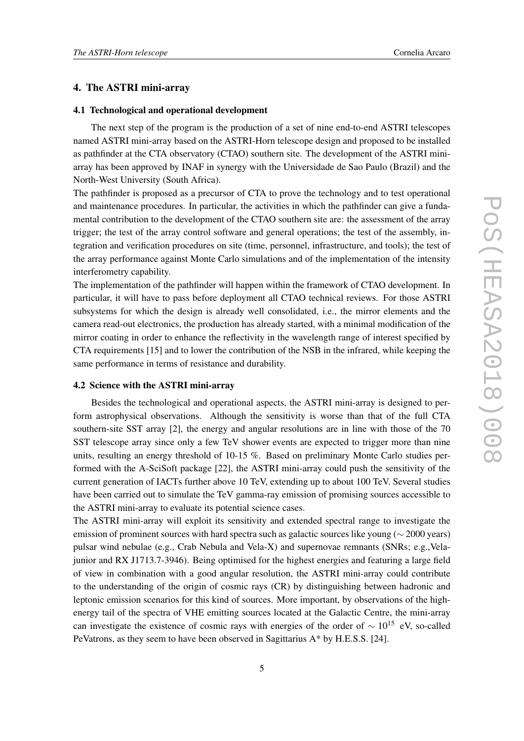# 4. The ASTRI mini-array

#### 4.1 Technological and operational development

The next step of the program is the production of a set of nine end-to-end ASTRI telescopes named ASTRI mini-array based on the ASTRI-Horn telescope design and proposed to be installed as pathfinder at the CTA observatory (CTAO) southern site. The development of the ASTRI miniarray has been approved by INAF in synergy with the Universidade de Sao Paulo (Brazil) and the North-West University (South Africa).

The pathfinder is proposed as a precursor of CTA to prove the technology and to test operational and maintenance procedures. In particular, the activities in which the pathfinder can give a fundamental contribution to the development of the CTAO southern site are: the assessment of the array trigger; the test of the array control software and general operations; the test of the assembly, integration and verification procedures on site (time, personnel, infrastructure, and tools); the test of the array performance against Monte Carlo simulations and of the implementation of the intensity interferometry capability.

The implementation of the pathfinder will happen within the framework of CTAO development. In particular, it will have to pass before deployment all CTAO technical reviews. For those ASTRI subsystems for which the design is already well consolidated, i.e., the mirror elements and the camera read-out electronics, the production has already started, with a minimal modification of the mirror coating in order to enhance the reflectivity in the wavelength range of interest specified by CTA requirements [15] and to lower the contribution of the NSB in the infrared, while keeping the same performance in terms of resistance and durability.

#### 4.2 Science with the ASTRI mini-array

Besides the technological and operational aspects, the ASTRI mini-array is designed to perform astrophysical observations. Although the sensitivity is worse than that of the full CTA southern-site SST array [2], the energy and angular resolutions are in line with those of the 70 SST telescope array since only a few TeV shower events are expected to trigger more than nine units, resulting an energy threshold of 10-15 %. Based on preliminary Monte Carlo studies performed with the A-SciSoft package [22], the ASTRI mini-array could push the sensitivity of the current generation of IACTs further above 10 TeV, extending up to about 100 TeV. Several studies have been carried out to simulate the TeV gamma-ray emission of promising sources accessible to the ASTRI mini-array to evaluate its potential science cases.

The ASTRI mini-array will exploit its sensitivity and extended spectral range to investigate the emission of prominent sources with hard spectra such as galactic sources like young (∼ 2000 years) pulsar wind nebulae (e.g., Crab Nebula and Vela-X) and supernovae remnants (SNRs; e.g.,Velajunior and RX J1713.7-3946). Being optimised for the highest energies and featuring a large field of view in combination with a good angular resolution, the ASTRI mini-array could contribute to the understanding of the origin of cosmic rays (CR) by distinguishing between hadronic and leptonic emission scenarios for this kind of sources. More important, by observations of the highenergy tail of the spectra of VHE emitting sources located at the Galactic Centre, the mini-array can investigate the existence of cosmic rays with energies of the order of  $\sim 10^{15}$  eV, so-called PeVatrons, as they seem to have been observed in Sagittarius A\* by H.E.S.S. [24].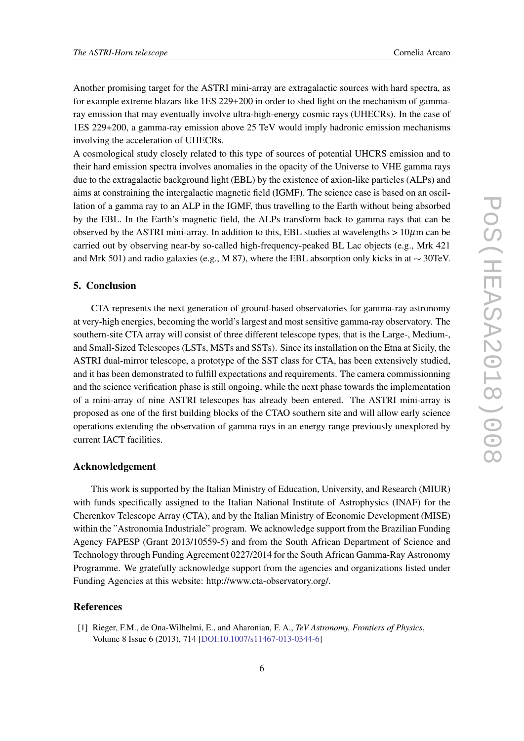Another promising target for the ASTRI mini-array are extragalactic sources with hard spectra, as for example extreme blazars like 1ES 229+200 in order to shed light on the mechanism of gammaray emission that may eventually involve ultra-high-energy cosmic rays (UHECRs). In the case of 1ES 229+200, a gamma-ray emission above 25 TeV would imply hadronic emission mechanisms involving the acceleration of UHECRs.

A cosmological study closely related to this type of sources of potential UHCRS emission and to their hard emission spectra involves anomalies in the opacity of the Universe to VHE gamma rays due to the extragalactic background light (EBL) by the existence of axion-like particles (ALPs) and aims at constraining the intergalactic magnetic field (IGMF). The science case is based on an oscillation of a gamma ray to an ALP in the IGMF, thus travelling to the Earth without being absorbed by the EBL. In the Earth's magnetic field, the ALPs transform back to gamma rays that can be observed by the ASTRI mini-array. In addition to this, EBL studies at wavelengths  $> 10 \mu$ m can be carried out by observing near-by so-called high-frequency-peaked BL Lac objects (e.g., Mrk 421 and Mrk 501) and radio galaxies (e.g., M 87), where the EBL absorption only kicks in at  $\sim$  30TeV.

# 5. Conclusion

CTA represents the next generation of ground-based observatories for gamma-ray astronomy at very-high energies, becoming the world's largest and most sensitive gamma-ray observatory. The southern-site CTA array will consist of three different telescope types, that is the Large-, Medium-, and Small-Sized Telescopes (LSTs, MSTs and SSTs). Since its installation on the Etna at Sicily, the ASTRI dual-mirror telescope, a prototype of the SST class for CTA, has been extensively studied, and it has been demonstrated to fulfill expectations and requirements. The camera commissionning and the science verification phase is still ongoing, while the next phase towards the implementation of a mini-array of nine ASTRI telescopes has already been entered. The ASTRI mini-array is proposed as one of the first building blocks of the CTAO southern site and will allow early science operations extending the observation of gamma rays in an energy range previously unexplored by current IACT facilities.

# Acknowledgement

This work is supported by the Italian Ministry of Education, University, and Research (MIUR) with funds specifically assigned to the Italian National Institute of Astrophysics (INAF) for the Cherenkov Telescope Array (CTA), and by the Italian Ministry of Economic Development (MISE) within the "Astronomia Industriale" program. We acknowledge support from the Brazilian Funding Agency FAPESP (Grant 2013/10559-5) and from the South African Department of Science and Technology through Funding Agreement 0227/2014 for the South African Gamma-Ray Astronomy Programme. We gratefully acknowledge support from the agencies and organizations listed under Funding Agencies at this website: http://www.cta-observatory.org/.

#### **References**

<sup>[1]</sup> Rieger, F.M., de Ona-Wilhelmi, E., and Aharonian, F. A., *TeV Astronomy, Frontiers of Physics*, Volume 8 Issue 6 (2013), 714 [[DOI:10.1007/s11467-013-0344-6](https://doi.org/10.1007/s11467-013-0344-6)]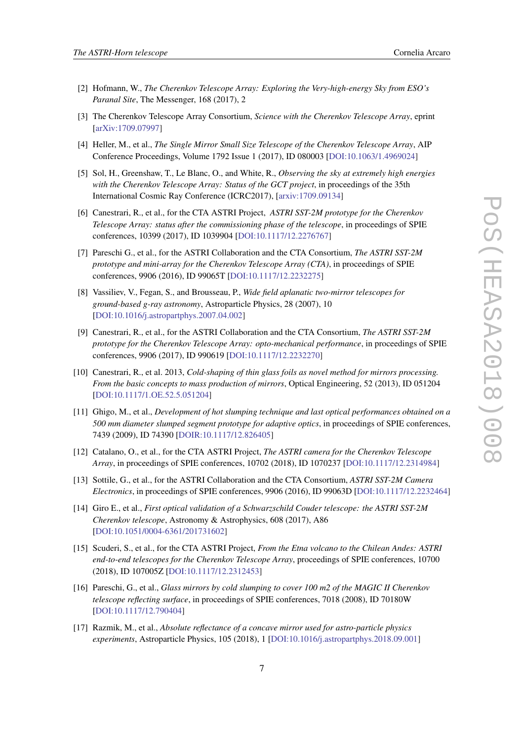- [2] Hofmann, W., *The Cherenkov Telescope Array: Exploring the Very-high-energy Sky from ESO's Paranal Site*, The Messenger, 168 (2017), 2
- [3] The Cherenkov Telescope Array Consortium, *Science with the Cherenkov Telescope Array*, eprint [[arXiv:1709.07997](https://arxiv.org/abs/1709.07997)]
- [4] Heller, M., et al., *The Single Mirror Small Size Telescope of the Cherenkov Telescope Array*, AIP Conference Proceedings, Volume 1792 Issue 1 (2017), ID 080003 [[DOI:10.1063/1.4969024\]](https://aip.scitation.org/doi/10.1063/1.4969024)
- [5] Sol, H., Greenshaw, T., Le Blanc, O., and White, R., *Observing the sky at extremely high energies with the Cherenkov Telescope Array: Status of the GCT project*, in proceedings of the 35th International Cosmic Ray Conference (ICRC2017), [[arxiv:1709.09134](https://arxiv.org/abs/1709.09134)]
- [6] Canestrari, R., et al., for the CTA ASTRI Project, *ASTRI SST-2M prototype for the Cherenkov Telescope Array: status after the commissioning phase of the telescope*, in proceedings of SPIE conferences, 10399 (2017), ID 1039904 [[DOI:10.1117/12.2276767](https://doi.org/10.1117/12.2276767)]
- [7] Pareschi G., et al., for the ASTRI Collaboration and the CTA Consortium, *The ASTRI SST-2M prototype and mini-array for the Cherenkov Telescope Array (CTA)*, in proceedings of SPIE conferences, 9906 (2016), ID 99065T [[DOI:10.1117/12.2232275\]](https://doi.org/10.1117/12.2232275)
- [8] Vassiliev, V., Fegan, S., and Brousseau, P., *Wide field aplanatic two-mirror telescopes for ground-based g-ray astronomy*, Astroparticle Physics, 28 (2007), 10 [[DOI:10.1016/j.astropartphys.2007.04.002](https://linkinghub.elsevier.com/retrieve/pii/S0927650507000527)]
- [9] Canestrari, R., et al., for the ASTRI Collaboration and the CTA Consortium, *The ASTRI SST-2M prototype for the Cherenkov Telescope Array: opto-mechanical performance*, in proceedings of SPIE conferences, 9906 (2017), ID 990619 [[DOI:10.1117/12.2232270\]](https://doi.org/10.1117/12.2232270)
- [10] Canestrari, R., et al. 2013, *Cold-shaping of thin glass foils as novel method for mirrors processing. From the basic concepts to mass production of mirrors*, Optical Engineering, 52 (2013), ID 051204 [[DOI:10.1117/1.OE.52.5.051204](https://doi.org/10.1117/1.OE.52.5.051204)]
- [11] Ghigo, M., et al., *Development of hot slumping technique and last optical performances obtained on a 500 mm diameter slumped segment prototype for adaptive optics*, in proceedings of SPIE conferences, 7439 (2009), ID 74390 [\[DOIR:10.1117/12.826405\]](https://www.spiedigitallibrary.org/conference-proceedings-of-spie/7439/1/Development-of-hot-slumping-technique-and-last-optical-performances-obtained/10.1117/12.826405.full)
- [12] Catalano, O., et al., for the CTA ASTRI Project, *The ASTRI camera for the Cherenkov Telescope Array*, in proceedings of SPIE conferences, 10702 (2018), ID 1070237 [\[DOI:10.1117/12.2314984](https://doi.org/10.1117/12.2314984)]
- [13] Sottile, G., et al., for the ASTRI Collaboration and the CTA Consortium, *ASTRI SST-2M Camera Electronics*, in proceedings of SPIE conferences, 9906 (2016), ID 99063D [[DOI:10.1117/12.2232464\]](https://doi.org/10.1117/12.2232464)
- [14] Giro E., et al., *First optical validation of a Schwarzschild Couder telescope: the ASTRI SST-2M Cherenkov telescope*, Astronomy & Astrophysics, 608 (2017), A86 [[DOI:10.1051/0004-6361/201731602](https://doi.org/10.1051/0004-6361/201731602)]
- [15] Scuderi, S., et al., for the CTA ASTRI Project, *From the Etna volcano to the Chilean Andes: ASTRI end-to-end telescopes for the Cherenkov Telescope Array*, proceedings of SPIE conferences, 10700 (2018), ID 107005Z [[DOI:10.1117/12.2312453\]](https://www.spiedigitallibrary.org/conference-proceedings-of-spie/10700/2312453/From-the-Etna-volcano-to-the-Chilean-Andes--ASTRI/10.1117/12.2312453.full)
- [16] Pareschi, G., et al., *Glass mirrors by cold slumping to cover 100 m2 of the MAGIC II Cherenkov telescope reflecting surface*, in proceedings of SPIE conferences, 7018 (2008), ID 70180W [[DOI:10.1117/12.790404\]](https://doi.org/10.1117/12.790404)
- [17] Razmik, M., et al., *Absolute reflectance of a concave mirror used for astro-particle physics experiments*, Astroparticle Physics, 105 (2018), 1 [[DOI:10.1016/j.astropartphys.2018.09.001\]](https://linkinghub.elsevier.com/retrieve/pii/S0927650517302669)